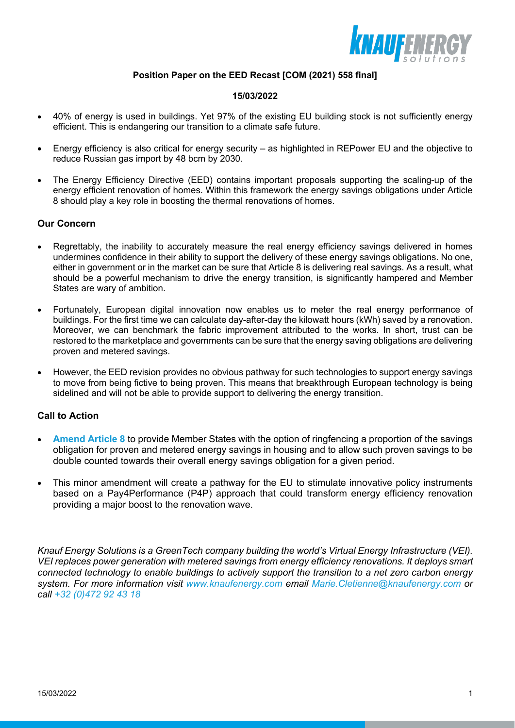

## **Position Paper on the EED Recast [COM (2021) 558 final]**

## **15/03/2022**

- 40% of energy is used in buildings. Yet 97% of the existing EU building stock is not sufficiently energy efficient. This is endangering our transition to a climate safe future.
- Energy efficiency is also critical for energy security as highlighted in REPower EU and the objective to reduce Russian gas import by 48 bcm by 2030.
- The Energy Efficiency Directive (EED) contains important proposals supporting the scaling-up of the energy efficient renovation of homes. Within this framework the energy savings obligations under Article 8 should play a key role in boosting the thermal renovations of homes.

## **Our Concern**

- Regrettably, the inability to accurately measure the real energy efficiency savings delivered in homes undermines confidence in their ability to support the delivery of these energy savings obligations. No one, either in government or in the market can be sure that Article 8 is delivering real savings. As a result, what should be a powerful mechanism to drive the energy transition, is significantly hampered and Member States are wary of ambition.
- Fortunately, European digital innovation now enables us to meter the real energy performance of buildings. For the first time we can calculate day-after-day the kilowatt hours (kWh) saved by a renovation. Moreover, we can benchmark the fabric improvement attributed to the works. In short, trust can be restored to the marketplace and governments can be sure that the energy saving obligations are delivering proven and metered savings.
- However, the EED revision provides no obvious pathway for such technologies to support energy savings to move from being fictive to being proven. This means that breakthrough European technology is being sidelined and will not be able to provide support to delivering the energy transition.

## **Call to Action**

- **Amend Article 8** to provide Member States with the option of ringfencing a proportion of the savings obligation for proven and metered energy savings in housing and to allow such proven savings to be double counted towards their overall energy savings obligation for a given period.
- This minor amendment will create a pathway for the EU to stimulate innovative policy instruments based on a Pay4Performance (P4P) approach that could transform energy efficiency renovation providing a major boost to the renovation wave.

*Knauf Energy Solutions is a GreenTech company building the world's Virtual Energy Infrastructure (VEI). VEI replaces power generation with metered savings from energy efficiency renovations. It deploys smart connected technology to enable buildings to actively support the transition to a net zero carbon energy system. For more information visit www.knaufenergy.com email Marie.Cletienne@knaufenergy.com or call +32 (0)472 92 43 18*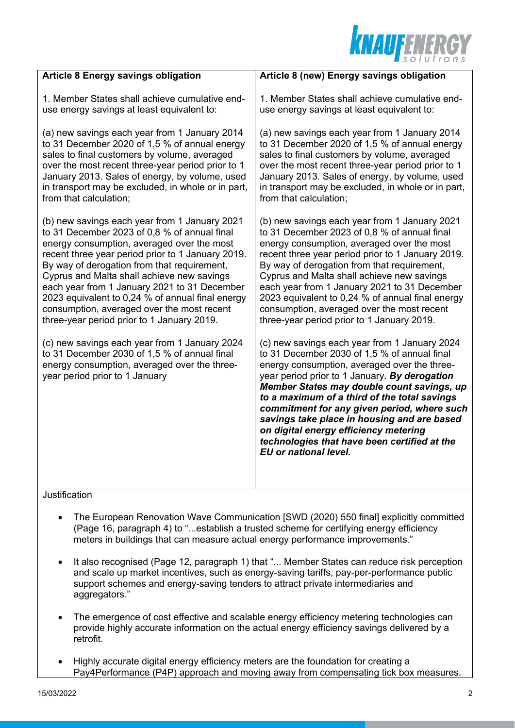

| <b>Article 8 Energy savings obligation</b>                                                                                                                                      | Article 8 (new) Energy savings obligation                                                                                                                                                                                                                                                                                                                                                                                                                                                                    |
|---------------------------------------------------------------------------------------------------------------------------------------------------------------------------------|--------------------------------------------------------------------------------------------------------------------------------------------------------------------------------------------------------------------------------------------------------------------------------------------------------------------------------------------------------------------------------------------------------------------------------------------------------------------------------------------------------------|
| 1. Member States shall achieve cumulative end-                                                                                                                                  | 1. Member States shall achieve cumulative end-                                                                                                                                                                                                                                                                                                                                                                                                                                                               |
| use energy savings at least equivalent to:                                                                                                                                      | use energy savings at least equivalent to:                                                                                                                                                                                                                                                                                                                                                                                                                                                                   |
| (a) new savings each year from 1 January 2014                                                                                                                                   | (a) new savings each year from 1 January 2014                                                                                                                                                                                                                                                                                                                                                                                                                                                                |
| to 31 December 2020 of 1,5 % of annual energy                                                                                                                                   | to 31 December 2020 of 1,5 % of annual energy                                                                                                                                                                                                                                                                                                                                                                                                                                                                |
| sales to final customers by volume, averaged                                                                                                                                    | sales to final customers by volume, averaged                                                                                                                                                                                                                                                                                                                                                                                                                                                                 |
| over the most recent three-year period prior to 1                                                                                                                               | over the most recent three-year period prior to 1                                                                                                                                                                                                                                                                                                                                                                                                                                                            |
| January 2013. Sales of energy, by volume, used                                                                                                                                  | January 2013. Sales of energy, by volume, used                                                                                                                                                                                                                                                                                                                                                                                                                                                               |
| in transport may be excluded, in whole or in part,                                                                                                                              | in transport may be excluded, in whole or in part,                                                                                                                                                                                                                                                                                                                                                                                                                                                           |
| from that calculation;                                                                                                                                                          | from that calculation;                                                                                                                                                                                                                                                                                                                                                                                                                                                                                       |
| (b) new savings each year from 1 January 2021                                                                                                                                   | (b) new savings each year from 1 January 2021                                                                                                                                                                                                                                                                                                                                                                                                                                                                |
| to 31 December 2023 of 0,8 % of annual final                                                                                                                                    | to 31 December 2023 of 0,8 % of annual final                                                                                                                                                                                                                                                                                                                                                                                                                                                                 |
| energy consumption, averaged over the most                                                                                                                                      | energy consumption, averaged over the most                                                                                                                                                                                                                                                                                                                                                                                                                                                                   |
| recent three year period prior to 1 January 2019.                                                                                                                               | recent three year period prior to 1 January 2019.                                                                                                                                                                                                                                                                                                                                                                                                                                                            |
| By way of derogation from that requirement,                                                                                                                                     | By way of derogation from that requirement,                                                                                                                                                                                                                                                                                                                                                                                                                                                                  |
| Cyprus and Malta shall achieve new savings                                                                                                                                      | Cyprus and Malta shall achieve new savings                                                                                                                                                                                                                                                                                                                                                                                                                                                                   |
| each year from 1 January 2021 to 31 December                                                                                                                                    | each year from 1 January 2021 to 31 December                                                                                                                                                                                                                                                                                                                                                                                                                                                                 |
| 2023 equivalent to 0,24 % of annual final energy                                                                                                                                | 2023 equivalent to 0,24 % of annual final energy                                                                                                                                                                                                                                                                                                                                                                                                                                                             |
| consumption, averaged over the most recent                                                                                                                                      | consumption, averaged over the most recent                                                                                                                                                                                                                                                                                                                                                                                                                                                                   |
| three-year period prior to 1 January 2019.                                                                                                                                      | three-year period prior to 1 January 2019.                                                                                                                                                                                                                                                                                                                                                                                                                                                                   |
| (c) new savings each year from 1 January 2024<br>to 31 December 2030 of 1,5 % of annual final<br>energy consumption, averaged over the three-<br>year period prior to 1 January | (c) new savings each year from 1 January 2024<br>to 31 December 2030 of 1,5 % of annual final<br>energy consumption, averaged over the three-<br>year period prior to 1 January. By derogation<br>Member States may double count savings, up<br>to a maximum of a third of the total savings<br>commitment for any given period, where such<br>savings take place in housing and are based<br>on digital energy efficiency metering<br>technologies that have been certified at the<br>EU or national level. |

**Justification** 

- The European Renovation Wave Communication [SWD (2020) 550 final] explicitly committed (Page 16, paragraph 4) to "...establish a trusted scheme for certifying energy efficiency meters in buildings that can measure actual energy performance improvements."
- It also recognised (Page 12, paragraph 1) that "... Member States can reduce risk perception and scale up market incentives, such as energy-saving tariffs, pay-per-performance public support schemes and energy-saving tenders to attract private intermediaries and aggregators."
- The emergence of cost effective and scalable energy efficiency metering technologies can provide highly accurate information on the actual energy efficiency savings delivered by a retrofit.
- Highly accurate digital energy efficiency meters are the foundation for creating a Pay4Performance (P4P) approach and moving away from compensating tick box measures.